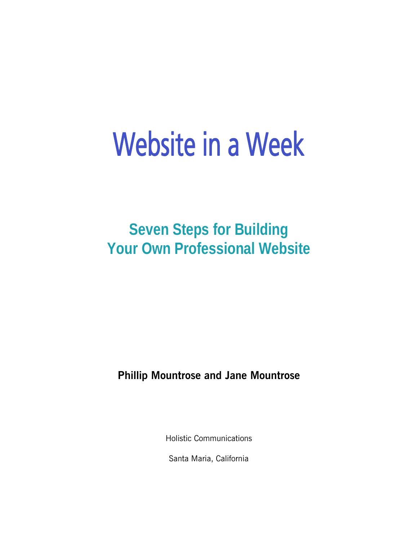# Website in a Week

**Seven Steps for Building Your Own Professional Website** 

**Phillip Mountrose and Jane Mountrose** 

Holistic Communications

Santa Maria, California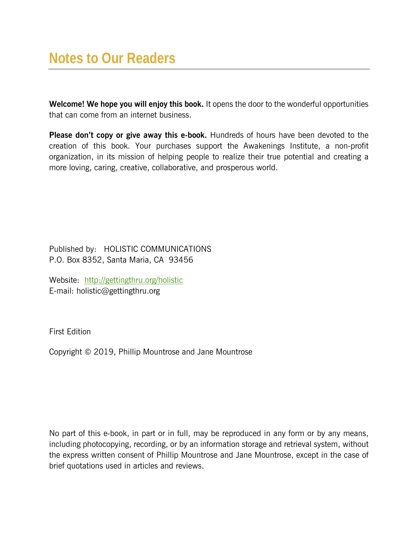**Welcome! We hope you will enjoy this book.** It opens the door to the wonderful opportunities that can come from an internet business.

**Please don't copy or give away this e-book.** Hundreds of hours have been devoted to the creation of this book. Your purchases support the Awakenings Institute, a non-profit organization, in its mission of helping people to realize their true potential and creating a more loving, caring, creative, collaborative, and prosperous world.

Published by: HOLISTIC COMMUNICATIONS P.O. Box 8352, Santa Maria, CA 93456

Website: http://gettingthru.org/holistic E-mail: holistic@gettingthru.org

First Edition

Copyright © 2019, Phillip Mountrose and Jane Mountrose

No part of this e-book, in part or in full, may be reproduced in any form or by any means, including photocopying, recording, or by an information storage and retrieval system, without the express written consent of Phillip Mountrose and Jane Mountrose, except in the case of brief quotations used in articles and reviews.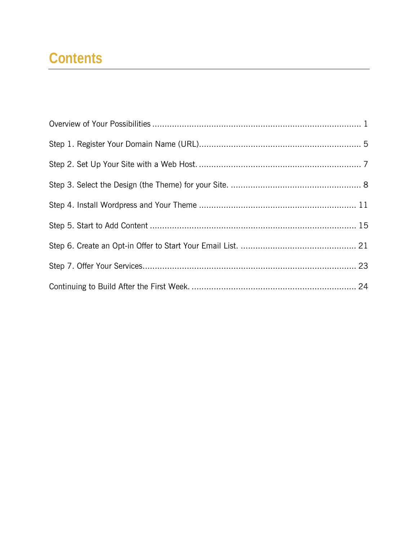## **Contents**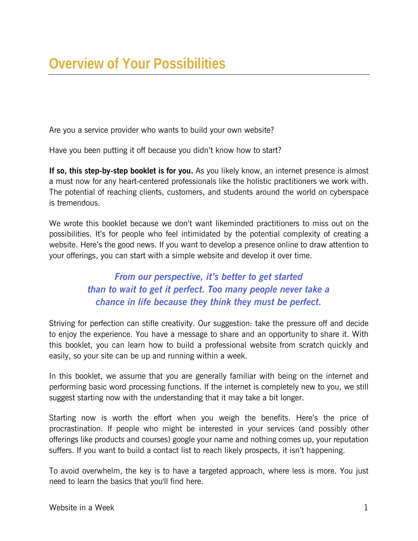Are you a service provider who wants to build your own website?

Have you been putting it off because you didn't know how to start?

**If so, this step-by-step booklet is for you.** As you likely know, an internet presence is almost a must now for any heart-centered professionals like the holistic practitioners we work with. The potential of reaching clients, customers, and students around the world on cyberspace is tremendous.

We wrote this booklet because we don't want likeminded practitioners to miss out on the possibilities. It's for people who feel intimidated by the potential complexity of creating a website. Here's the good news. If you want to develop a presence online to draw attention to your offerings, you can start with a simple website and develop it over time.

#### *From our perspective, it's better to get started than to wait to get it perfect. Too many people never take a chance in life because they think they must be perfect.*

Striving for perfection can stifle creativity. Our suggestion: take the pressure off and decide to enjoy the experience. You have a message to share and an opportunity to share it. With this booklet, you can learn how to build a professional website from scratch quickly and easily, so your site can be up and running within a week.

In this booklet, we assume that you are generally familiar with being on the internet and performing basic word processing functions. If the internet is completely new to you, we still suggest starting now with the understanding that it may take a bit longer.

Starting now is worth the effort when you weigh the benefits. Here's the price of procrastination. If people who might be interested in your services (and possibly other offerings like products and courses) google your name and nothing comes up, your reputation suffers. If you want to build a contact list to reach likely prospects, it isn't happening.

To avoid overwhelm, the key is to have a targeted approach, where less is more. You just need to learn the basics that you'll find here.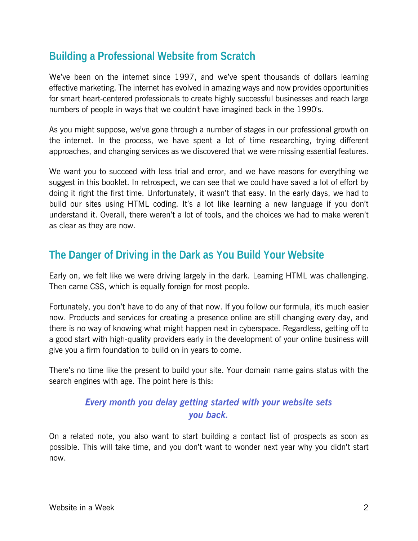## **Building a Professional Website from Scratch**

We've been on the internet since 1997, and we've spent thousands of dollars learning effective marketing. The internet has evolved in amazing ways and now provides opportunities for smart heart-centered professionals to create highly successful businesses and reach large numbers of people in ways that we couldn't have imagined back in the 1990's.

As you might suppose, we've gone through a number of stages in our professional growth on the internet. In the process, we have spent a lot of time researching, trying different approaches, and changing services as we discovered that we were missing essential features.

We want you to succeed with less trial and error, and we have reasons for everything we suggest in this booklet. In retrospect, we can see that we could have saved a lot of effort by doing it right the first time. Unfortunately, it wasn't that easy. In the early days, we had to build our sites using HTML coding. It's a lot like learning a new language if you don't understand it. Overall, there weren't a lot of tools, and the choices we had to make weren't as clear as they are now.

## **The Danger of Driving in the Dark as You Build Your Website**

Early on, we felt like we were driving largely in the dark. Learning HTML was challenging. Then came CSS, which is equally foreign for most people.

Fortunately, you don't have to do any of that now. If you follow our formula, it's much easier now. Products and services for creating a presence online are still changing every day, and there is no way of knowing what might happen next in cyberspace. Regardless, getting off to a good start with high-quality providers early in the development of your online business will give you a firm foundation to build on in years to come.

There's no time like the present to build your site. Your domain name gains status with the search engines with age. The point here is this:

#### *Every month you delay getting started with your website sets you back.*

On a related note, you also want to start building a contact list of prospects as soon as possible. This will take time, and you don't want to wonder next year why you didn't start now.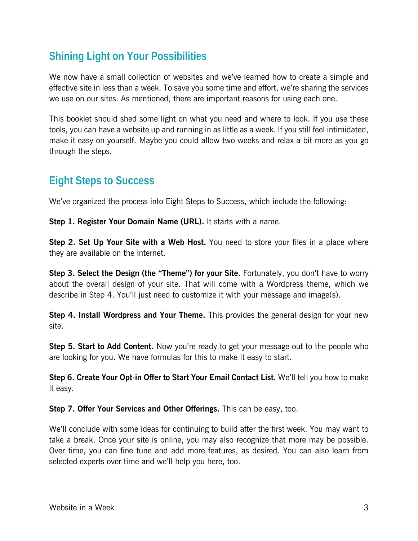## **Shining Light on Your Possibilities**

We now have a small collection of websites and we've learned how to create a simple and effective site in less than a week. To save you some time and effort, we're sharing the services we use on our sites. As mentioned, there are important reasons for using each one.

This booklet should shed some light on what you need and where to look. If you use these tools, you can have a website up and running in as little as a week. If you still feel intimidated, make it easy on yourself. Maybe you could allow two weeks and relax a bit more as you go through the steps.

## **Eight Steps to Success**

We've organized the process into Eight Steps to Success, which include the following:

**Step 1. Register Your Domain Name (URL).** It starts with a name.

**Step 2. Set Up Your Site with a Web Host.** You need to store your files in a place where they are available on the internet.

**Step 3. Select the Design (the "Theme") for your Site.** Fortunately, you don't have to worry about the overall design of your site. That will come with a Wordpress theme, which we describe in Step 4. You'll just need to customize it with your message and image(s).

**Step 4. Install Wordpress and Your Theme.** This provides the general design for your new site.

**Step 5. Start to Add Content.** Now you're ready to get your message out to the people who are looking for you. We have formulas for this to make it easy to start.

**Step 6. Create Your Opt-in Offer to Start Your Email Contact List.** We'll tell you how to make it easy.

**Step 7. Offer Your Services and Other Offerings.** This can be easy, too.

We'll conclude with some ideas for continuing to build after the first week. You may want to take a break. Once your site is online, you may also recognize that more may be possible. Over time, you can fine tune and add more features, as desired. You can also learn from selected experts over time and we'll help you here, too.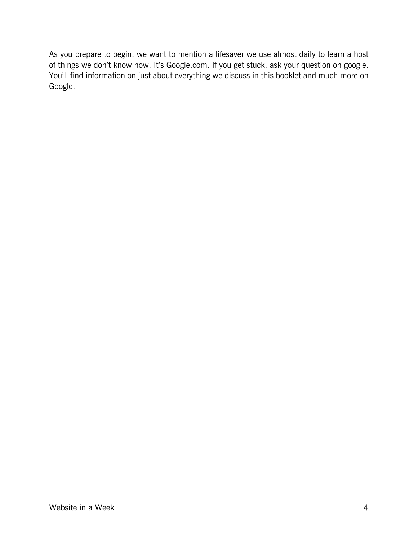As you prepare to begin, we want to mention a lifesaver we use almost daily to learn a host of things we don't know now. It's Google.com. If you get stuck, ask your question on google. You'll find information on just about everything we discuss in this booklet and much more on Google.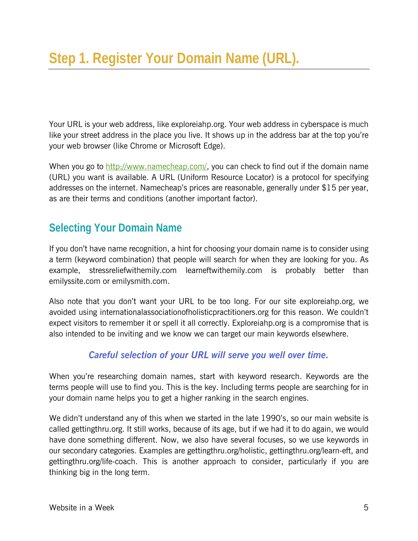Your URL is your web address, like exploreiahp.org. Your web address in cyberspace is much like your street address in the place you live. It shows up in the address bar at the top you're your web browser (like Chrome or Microsoft Edge).

When you go to [http://www.namecheap.com/,](http://www.namecheap.com/?aff=17946) you can check to find out if the domain name (URL) you want is available. A URL (Uniform Resource Locator) is a protocol for specifying addresses on the internet. Namecheap's prices are reasonable, generally under \$15 per year, as are their terms and conditions (another important factor).

## **Selecting Your Domain Name**

If you don't have name recognition, a hint for choosing your domain name is to consider using a term (keyword combination) that people will search for when they are looking for you. As example, stressreliefwithemily.com learneftwithemily.com is probably better than emilyssite.com or emilysmith.com.

Also note that you don't want your URL to be too long. For our site exploreiahp.org, we avoided using internationalassociationofholisticpractitioners.org for this reason. We couldn't expect visitors to remember it or spell it all correctly. Exploreiahp.org is a compromise that is also intended to be inviting and we know we can target our main keywords elsewhere.

#### *Careful selection of your URL will serve you well over time.*

When you're researching domain names, start with keyword research. Keywords are the terms people will use to find you. This is the key. Including terms people are searching for in your domain name helps you to get a higher ranking in the search engines.

We didn't understand any of this when we started in the late 1990's, so our main website is called gettingthru.org. It still works, because of its age, but if we had it to do again, we would have done something different. Now, we also have several focuses, so we use keywords in our secondary categories. Examples are gettingthru.org/holistic, gettingthru.org/learn-eft, and gettingthru.org/life-coach. This is another approach to consider, particularly if you are thinking big in the long term.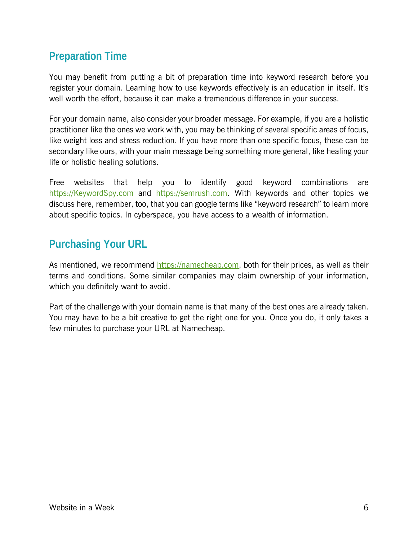## **Preparation Time**

You may benefit from putting a bit of preparation time into keyword research before you register your domain. Learning how to use keywords effectively is an education in itself. It's well worth the effort, because it can make a tremendous difference in your success.

For your domain name, also consider your broader message. For example, if you are a holistic practitioner like the ones we work with, you may be thinking of several specific areas of focus, like weight loss and stress reduction. If you have more than one specific focus, these can be secondary like ours, with your main message being something more general, like healing your life or holistic healing solutions.

Free websites that help you to identify good keyword combinations are https://KeywordSpy.com and https://semrush.com. With keywords and other topics we discuss here, remember, too, that you can google terms like "keyword research" to learn more about specific topics. In cyberspace, you have access to a wealth of information.

## **Purchasing Your URL**

As mentioned, we recommend [https://namecheap.com](http://www.namecheap.com/?aff=17946), both for their prices, as well as their terms and conditions. Some similar companies may claim ownership of your information, which you definitely want to avoid.

Part of the challenge with your domain name is that many of the best ones are already taken. You may have to be a bit creative to get the right one for you. Once you do, it only takes a few minutes to purchase your URL at Namecheap.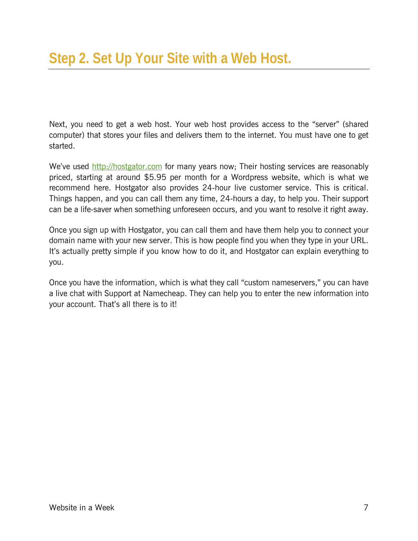Next, you need to get a web host. Your web host provides access to the "server" (shared computer) that stores your files and delivers them to the internet. You must have one to get started.

We've used [http://hostgator.com](http://secure.hostgator.com/cgi-bin/affiliates/clickthru.cgi?id=pmount) for many years now; Their hosting services are reasonably priced, starting at around \$5.95 per month for a Wordpress website, which is what we recommend here. Hostgator also provides 24-hour live customer service. This is critical. Things happen, and you can call them any time, 24-hours a day, to help you. Their support can be a life-saver when something unforeseen occurs, and you want to resolve it right away.

Once you sign up with Hostgator, you can call them and have them help you to connect your domain name with your new server. This is how people find you when they type in your URL. It's actually pretty simple if you know how to do it, and Hostgator can explain everything to you.

Once you have the information, which is what they call "custom nameservers," you can have a live chat with Support at Namecheap. They can help you to enter the new information into your account. That's all there is to it!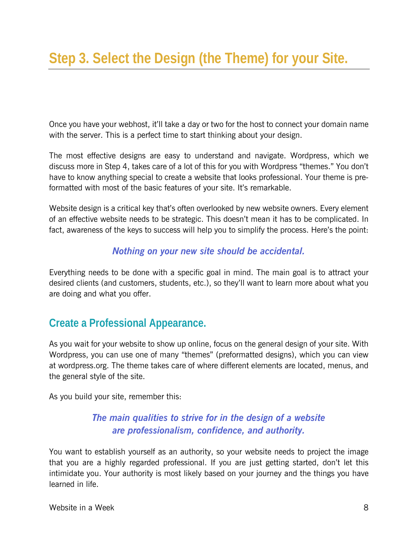Once you have your webhost, it'll take a day or two for the host to connect your domain name with the server. This is a perfect time to start thinking about your design.

The most effective designs are easy to understand and navigate. Wordpress, which we discuss more in Step 4, takes care of a lot of this for you with Wordpress "themes." You don't have to know anything special to create a website that looks professional. Your theme is preformatted with most of the basic features of your site. It's remarkable.

Website design is a critical key that's often overlooked by new website owners. Every element of an effective website needs to be strategic. This doesn't mean it has to be complicated. In fact, awareness of the keys to success will help you to simplify the process. Here's the point:

#### *Nothing on your new site should be accidental.*

Everything needs to be done with a specific goal in mind. The main goal is to attract your desired clients (and customers, students, etc.), so they'll want to learn more about what you are doing and what you offer.

## **Create a Professional Appearance.**

As you wait for your website to show up online, focus on the general design of your site. With Wordpress, you can use one of many "themes" (preformatted designs), which you can view at wordpress.org. The theme takes care of where different elements are located, menus, and the general style of the site.

As you build your site, remember this:

#### *The main qualities to strive for in the design of a website are professionalism, confidence, and authority.*

You want to establish yourself as an authority, so your website needs to project the image that you are a highly regarded professional. If you are just getting started, don't let this intimidate you. Your authority is most likely based on your journey and the things you have learned in life.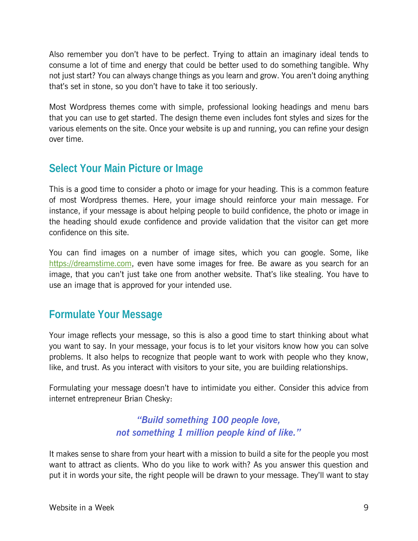Also remember you don't have to be perfect. Trying to attain an imaginary ideal tends to consume a lot of time and energy that could be better used to do something tangible. Why not just start? You can always change things as you learn and grow. You aren't doing anything that's set in stone, so you don't have to take it too seriously.

Most Wordpress themes come with simple, professional looking headings and menu bars that you can use to get started. The design theme even includes font styles and sizes for the various elements on the site. Once your website is up and running, you can refine your design over time.

## **Select Your Main Picture or Image**

This is a good time to consider a photo or image for your heading. This is a common feature of most Wordpress themes. Here, your image should reinforce your main message. For instance, if your message is about helping people to build confidence, the photo or image in the heading should exude confidence and provide validation that the visitor can get more confidence on this site.

You can find images on a number of image sites, which you can google. Some, like https://dreamstime.com, even have some images for free. Be aware as you search for an image, that you can't just take one from another website. That's like stealing. You have to use an image that is approved for your intended use.

## **Formulate Your Message**

Your image reflects your message, so this is also a good time to start thinking about what you want to say. In your message, your focus is to let your visitors know how you can solve problems. It also helps to recognize that people want to work with people who they know, like, and trust. As you interact with visitors to your site, you are building relationships.

Formulating your message doesn't have to intimidate you either. Consider this advice from internet entrepreneur Brian Chesky:

#### *"Build something 100 people love, not something 1 million people kind of like."*

It makes sense to share from your heart with a mission to build a site for the people you most want to attract as clients. Who do you like to work with? As you answer this question and put it in words your site, the right people will be drawn to your message. They'll want to stay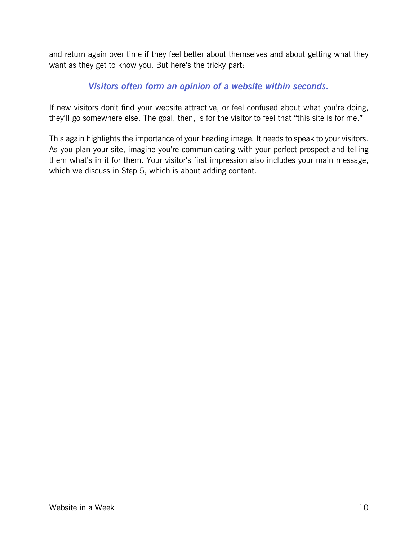and return again over time if they feel better about themselves and about getting what they want as they get to know you. But here's the tricky part:

#### *Visitors often form an opinion of a website within seconds.*

If new visitors don't find your website attractive, or feel confused about what you're doing, they'll go somewhere else. The goal, then, is for the visitor to feel that "this site is for me."

This again highlights the importance of your heading image. It needs to speak to your visitors. As you plan your site, imagine you're communicating with your perfect prospect and telling them what's in it for them. Your visitor's first impression also includes your main message, which we discuss in Step 5, which is about adding content.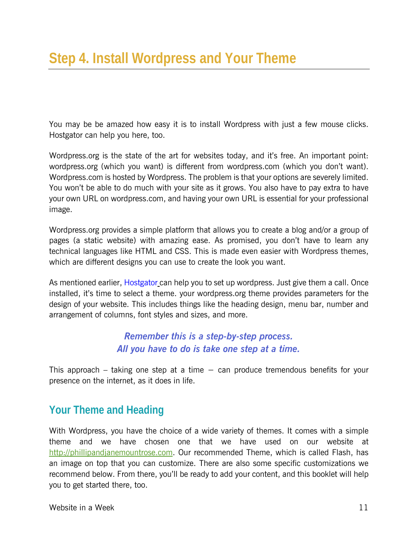You may be be amazed how easy it is to install Wordpress with just a few mouse clicks. Hostgator can help you here, too.

Wordpress.org is the state of the art for websites today, and it's free. An important point: wordpress.org (which you want) is different from wordpress.com (which you don't want). Wordpress.com is hosted by Wordpress. The problem is that your options are severely limited. You won't be able to do much with your site as it grows. You also have to pay extra to have your own URL on wordpress.com, and having your own URL is essential for your professional image.

Wordpress.org provides a simple platform that allows you to create a blog and/or a group of pages (a static website) with amazing ease. As promised, you don't have to learn any technical languages like HTML and CSS. This is made even easier with Wordpress themes, which are different designs you can use to create the look you want.

As mentioned earlier, [Hostgator](http://secure.hostgator.com/cgi-bin/affiliates/clickthru.cgi?id=pmount) can help you to set up wordpress. Just give them a call. Once installed, it's time to select a theme. your wordpress.org theme provides parameters for the design of your website. This includes things like the heading design, menu bar, number and arrangement of columns, font styles and sizes, and more.

#### *Remember this is a step-by-step process. All you have to do is take one step at a time.*

This approach – taking one step at a time  $-$  can produce tremendous benefits for your presence on the internet, as it does in life.

## **Your Theme and Heading**

With Wordpress, you have the choice of a wide variety of themes. It comes with a simple theme and we have chosen one that we have used on our website at http://phillipandjanemountrose.com. Our recommended Theme, which is called Flash, has an image on top that you can customize. There are also some specific customizations we recommend below. From there, you'll be ready to add your content, and this booklet will help you to get started there, too.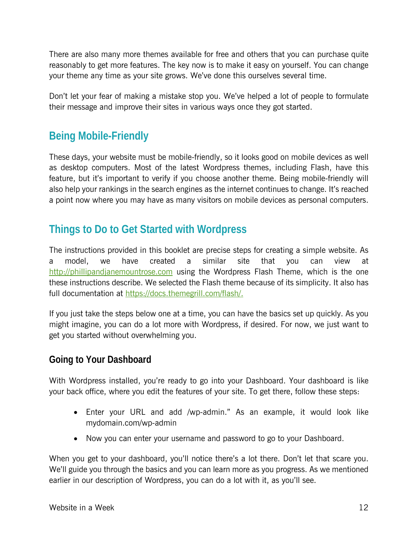There are also many more themes available for free and others that you can purchase quite reasonably to get more features. The key now is to make it easy on yourself. You can change your theme any time as your site grows. We've done this ourselves several time.

Don't let your fear of making a mistake stop you. We've helped a lot of people to formulate their message and improve their sites in various ways once they got started.

## **Being Mobile-Friendly**

These days, your website must be mobile-friendly, so it looks good on mobile devices as well as desktop computers. Most of the latest Wordpress themes, including Flash, have this feature, but it's important to verify if you choose another theme. Being mobile-friendly will also help your rankings in the search engines as the internet continues to change. It's reached a point now where you may have as many visitors on mobile devices as personal computers.

## **Things to Do to Get Started with Wordpress**

The instructions provided in this booklet are precise steps for creating a simple website. As a model, we have created a similar site that you can view at http://phillipandjanemountrose.com using the Wordpress Flash Theme, which is the one these instructions describe. We selected the Flash theme because of its simplicity. It also has full documentation at https://docs.themegrill.com/flash/.

If you just take the steps below one at a time, you can have the basics set up quickly. As you might imagine, you can do a lot more with Wordpress, if desired. For now, we just want to get you started without overwhelming you.

#### **Going to Your Dashboard**

With Wordpress installed, you're ready to go into your Dashboard. Your dashboard is like your back office, where you edit the features of your site. To get there, follow these steps:

- Enter your URL and add /wp-admin." As an example, it would look like mydomain.com/wp-admin
- Now you can enter your username and password to go to your Dashboard.

When you get to your dashboard, you'll notice there's a lot there. Don't let that scare you. We'll guide you through the basics and you can learn more as you progress. As we mentioned earlier in our description of Wordpress, you can do a lot with it, as you'll see.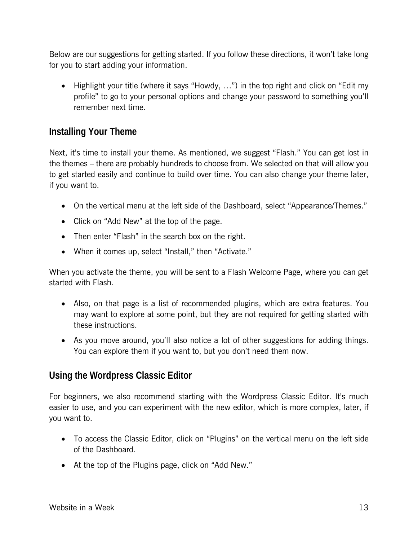Below are our suggestions for getting started. If you follow these directions, it won't take long for you to start adding your information.

• Highlight your title (where it says "Howdy, ...") in the top right and click on "Edit my profile" to go to your personal options and change your password to something you'll remember next time.

#### **Installing Your Theme**

Next, it's time to install your theme. As mentioned, we suggest "Flash." You can get lost in the themes – there are probably hundreds to choose from. We selected on that will allow you to get started easily and continue to build over time. You can also change your theme later, if you want to.

- On the vertical menu at the left side of the Dashboard, select "Appearance/Themes."
- Click on "Add New" at the top of the page.
- Then enter "Flash" in the search box on the right.
- When it comes up, select "Install," then "Activate."

When you activate the theme, you will be sent to a Flash Welcome Page, where you can get started with Flash.

- Also, on that page is a list of recommended plugins, which are extra features. You may want to explore at some point, but they are not required for getting started with these instructions.
- As you move around, you'll also notice a lot of other suggestions for adding things. You can explore them if you want to, but you don't need them now.

#### **Using the Wordpress Classic Editor**

For beginners, we also recommend starting with the Wordpress Classic Editor. It's much easier to use, and you can experiment with the new editor, which is more complex, later, if you want to.

- To access the Classic Editor, click on "Plugins" on the vertical menu on the left side of the Dashboard.
- At the top of the Plugins page, click on "Add New."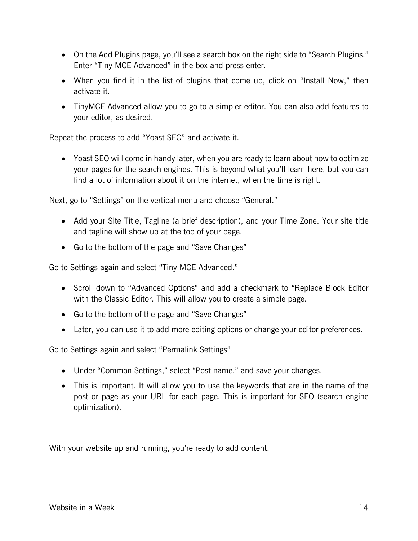- On the Add Plugins page, you'll see a search box on the right side to "Search Plugins." Enter "Tiny MCE Advanced" in the box and press enter.
- When you find it in the list of plugins that come up, click on "Install Now," then activate it.
- TinyMCE Advanced allow you to go to a simpler editor. You can also add features to your editor, as desired.

Repeat the process to add "Yoast SEO" and activate it.

 Yoast SEO will come in handy later, when you are ready to learn about how to optimize your pages for the search engines. This is beyond what you'll learn here, but you can find a lot of information about it on the internet, when the time is right.

Next, go to "Settings" on the vertical menu and choose "General."

- Add your Site Title, Tagline (a brief description), and your Time Zone. Your site title and tagline will show up at the top of your page.
- Go to the bottom of the page and "Save Changes"

Go to Settings again and select "Tiny MCE Advanced."

- Scroll down to "Advanced Options" and add a checkmark to "Replace Block Editor with the Classic Editor. This will allow you to create a simple page.
- Go to the bottom of the page and "Save Changes"
- Later, you can use it to add more editing options or change your editor preferences.

Go to Settings again and select "Permalink Settings"

- Under "Common Settings," select "Post name." and save your changes.
- This is important. It will allow you to use the keywords that are in the name of the post or page as your URL for each page. This is important for SEO (search engine optimization).

With your website up and running, you're ready to add content.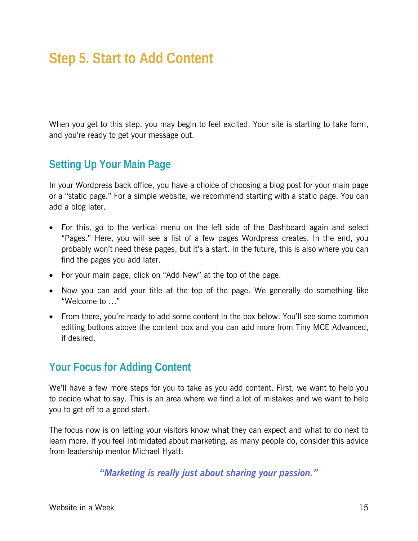When you get to this step, you may begin to feel excited. Your site is starting to take form, and you're ready to get your message out.

## **Setting Up Your Main Page**

In your Wordpress back office, you have a choice of choosing a blog post for your main page or a "static page." For a simple website, we recommend starting with a static page. You can add a blog later.

- For this, go to the vertical menu on the left side of the Dashboard again and select "Pages." Here, you will see a list of a few pages Wordpress creates. In the end, you probably won't need these pages, but it's a start. In the future, this is also where you can find the pages you add later.
- For your main page, click on "Add New" at the top of the page.
- Now you can add your title at the top of the page. We generally do something like "Welcome to …"
- From there, you're ready to add some content in the box below. You'll see some common editing buttons above the content box and you can add more from Tiny MCE Advanced, if desired.

## **Your Focus for Adding Content**

We'll have a few more steps for you to take as you add content. First, we want to help you to decide what to say. This is an area where we find a lot of mistakes and we want to help you to get off to a good start.

The focus now is on letting your visitors know what they can expect and what to do next to learn more. If you feel intimidated about marketing, as many people do, consider this advice from leadership mentor Michael Hyatt:

*"Marketing is really just about sharing your passion."*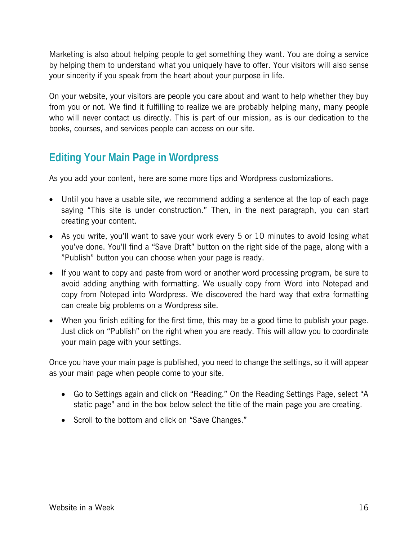Marketing is also about helping people to get something they want. You are doing a service by helping them to understand what you uniquely have to offer. Your visitors will also sense your sincerity if you speak from the heart about your purpose in life.

On your website, your visitors are people you care about and want to help whether they buy from you or not. We find it fulfilling to realize we are probably helping many, many people who will never contact us directly. This is part of our mission, as is our dedication to the books, courses, and services people can access on our site.

## **Editing Your Main Page in Wordpress**

As you add your content, here are some more tips and Wordpress customizations.

- Until you have a usable site, we recommend adding a sentence at the top of each page saying "This site is under construction." Then, in the next paragraph, you can start creating your content.
- As you write, you'll want to save your work every 5 or 10 minutes to avoid losing what you've done. You'll find a "Save Draft" button on the right side of the page, along with a "Publish" button you can choose when your page is ready.
- If you want to copy and paste from word or another word processing program, be sure to avoid adding anything with formatting. We usually copy from Word into Notepad and copy from Notepad into Wordpress. We discovered the hard way that extra formatting can create big problems on a Wordpress site.
- When you finish editing for the first time, this may be a good time to publish your page. Just click on "Publish" on the right when you are ready. This will allow you to coordinate your main page with your settings.

Once you have your main page is published, you need to change the settings, so it will appear as your main page when people come to your site.

- Go to Settings again and click on "Reading." On the Reading Settings Page, select "A static page" and in the box below select the title of the main page you are creating.
- Scroll to the bottom and click on "Save Changes."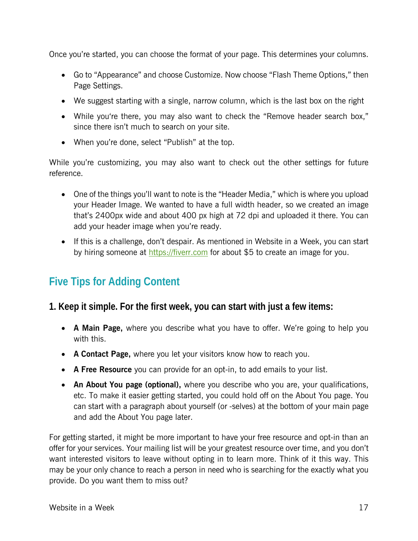Once you're started, you can choose the format of your page. This determines your columns.

- Go to "Appearance" and choose Customize. Now choose "Flash Theme Options," then Page Settings.
- We suggest starting with a single, narrow column, which is the last box on the right
- While you're there, you may also want to check the "Remove header search box," since there isn't much to search on your site.
- When you're done, select "Publish" at the top.

While you're customizing, you may also want to check out the other settings for future reference.

- One of the things you'll want to note is the "Header Media," which is where you upload your Header Image. We wanted to have a full width header, so we created an image that's 2400px wide and about 400 px high at 72 dpi and uploaded it there. You can add your header image when you're ready.
- If this is a challenge, don't despair. As mentioned in Website in a Week, you can start by hiring someone at https://fiverr.com for about \$5 to create an image for you.

## **Five Tips for Adding Content**

#### **1. Keep it simple. For the first week, you can start with just a few items:**

- **A Main Page,** where you describe what you have to offer. We're going to help you with this.
- **A Contact Page,** where you let your visitors know how to reach you.
- **A Free Resource** you can provide for an opt-in, to add emails to your list.
- **An About You page (optional),** where you describe who you are, your qualifications, etc. To make it easier getting started, you could hold off on the About You page. You can start with a paragraph about yourself (or -selves) at the bottom of your main page and add the About You page later.

For getting started, it might be more important to have your free resource and opt-in than an offer for your services. Your mailing list will be your greatest resource over time, and you don't want interested visitors to leave without opting in to learn more. Think of it this way. This may be your only chance to reach a person in need who is searching for the exactly what you provide. Do you want them to miss out?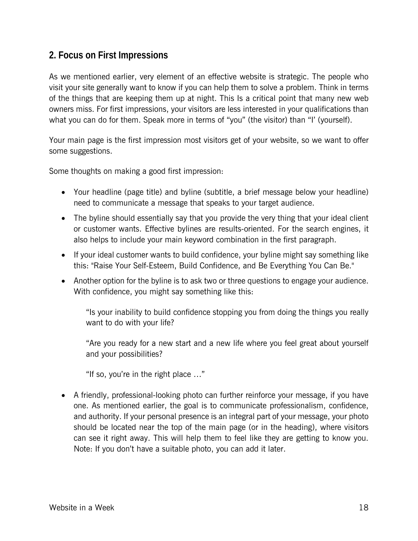#### **2. Focus on First Impressions**

As we mentioned earlier, very element of an effective website is strategic. The people who visit your site generally want to know if you can help them to solve a problem. Think in terms of the things that are keeping them up at night. This Is a critical point that many new web owners miss. For first impressions, your visitors are less interested in your qualifications than what you can do for them. Speak more in terms of "you" (the visitor) than "I' (yourself).

Your main page is the first impression most visitors get of your website, so we want to offer some suggestions.

Some thoughts on making a good first impression:

- Your headline (page title) and byline (subtitle, a brief message below your headline) need to communicate a message that speaks to your target audience.
- The byline should essentially say that you provide the very thing that your ideal client or customer wants. Effective bylines are results-oriented. For the search engines, it also helps to include your main keyword combination in the first paragraph.
- If your ideal customer wants to build confidence, your byline might say something like this: "Raise Your Self-Esteem, Build Confidence, and Be Everything You Can Be."
- Another option for the byline is to ask two or three questions to engage your audience. With confidence, you might say something like this:

"Is your inability to build confidence stopping you from doing the things you really want to do with your life?

"Are you ready for a new start and a new life where you feel great about yourself and your possibilities?

"If so, you're in the right place …"

 A friendly, professional-looking photo can further reinforce your message, if you have one. As mentioned earlier, the goal is to communicate professionalism, confidence, and authority. If your personal presence is an integral part of your message, your photo should be located near the top of the main page (or in the heading), where visitors can see it right away. This will help them to feel like they are getting to know you. Note: If you don't have a suitable photo, you can add it later.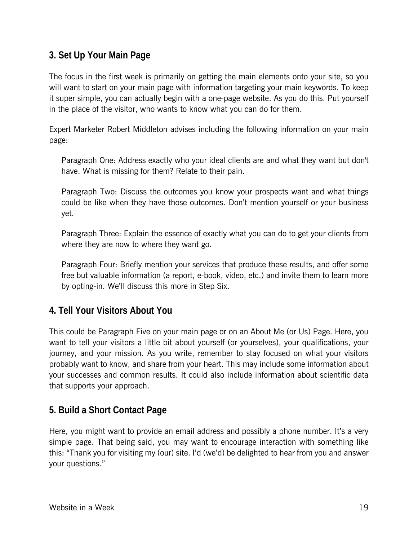#### **3. Set Up Your Main Page**

The focus in the first week is primarily on getting the main elements onto your site, so you will want to start on your main page with information targeting your main keywords. To keep it super simple, you can actually begin with a one-page website. As you do this. Put yourself in the place of the visitor, who wants to know what you can do for them.

Expert Marketer Robert Middleton advises including the following information on your main page:

Paragraph One: Address exactly who your ideal clients are and what they want but don't have. What is missing for them? Relate to their pain.

Paragraph Two: Discuss the outcomes you know your prospects want and what things could be like when they have those outcomes. Don't mention yourself or your business yet.

Paragraph Three: Explain the essence of exactly what you can do to get your clients from where they are now to where they want go.

Paragraph Four: Briefly mention your services that produce these results, and offer some free but valuable information (a report, e-book, video, etc.) and invite them to learn more by opting-in. We'll discuss this more in Step Six.

#### **4. Tell Your Visitors About You**

This could be Paragraph Five on your main page or on an About Me (or Us) Page. Here, you want to tell your visitors a little bit about yourself (or yourselves), your qualifications, your journey, and your mission. As you write, remember to stay focused on what your visitors probably want to know, and share from your heart. This may include some information about your successes and common results. It could also include information about scientific data that supports your approach.

#### **5. Build a Short Contact Page**

Here, you might want to provide an email address and possibly a phone number. It's a very simple page. That being said, you may want to encourage interaction with something like this: "Thank you for visiting my (our) site. I'd (we'd) be delighted to hear from you and answer your questions."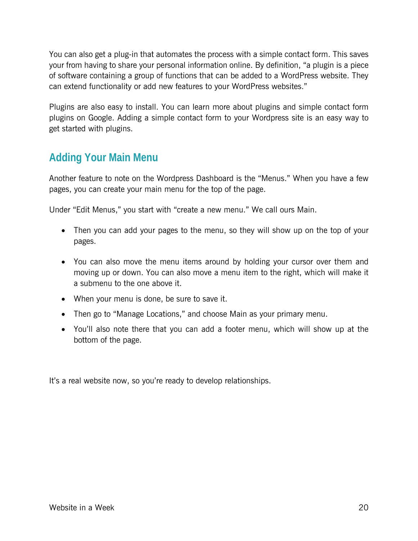You can also get a plug-in that automates the process with a simple contact form. This saves your from having to share your personal information online. By definition, "a plugin is a piece of software containing a group of functions that can be added to a WordPress website. They can extend functionality or add new features to your WordPress websites."

Plugins are also easy to install. You can learn more about plugins and simple contact form plugins on Google. Adding a simple contact form to your Wordpress site is an easy way to get started with plugins.

## **Adding Your Main Menu**

Another feature to note on the Wordpress Dashboard is the "Menus." When you have a few pages, you can create your main menu for the top of the page.

Under "Edit Menus," you start with "create a new menu." We call ours Main.

- Then you can add your pages to the menu, so they will show up on the top of your pages.
- You can also move the menu items around by holding your cursor over them and moving up or down. You can also move a menu item to the right, which will make it a submenu to the one above it.
- When your menu is done, be sure to save it.
- Then go to "Manage Locations," and choose Main as your primary menu.
- You'll also note there that you can add a footer menu, which will show up at the bottom of the page.

It's a real website now, so you're ready to develop relationships.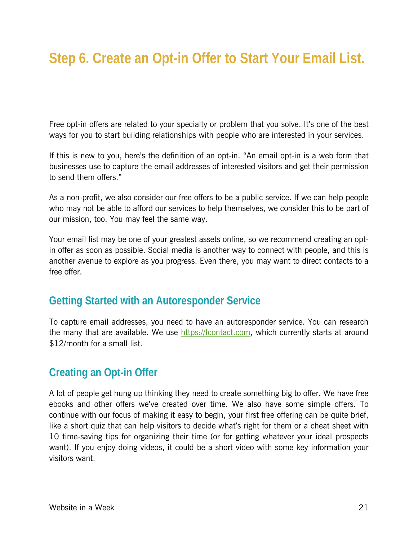Free opt-in offers are related to your specialty or problem that you solve. It's one of the best ways for you to start building relationships with people who are interested in your services.

If this is new to you, here's the definition of an opt-in. "An email opt-in is a web form that businesses use to capture the email addresses of interested visitors and get their permission to send them offers."

As a non-profit, we also consider our free offers to be a public service. If we can help people who may not be able to afford our services to help themselves, we consider this to be part of our mission, too. You may feel the same way.

Your email list may be one of your greatest assets online, so we recommend creating an optin offer as soon as possible. Social media is another way to connect with people, and this is another avenue to explore as you progress. Even there, you may want to direct contacts to a free offer.

## **Getting Started with an Autoresponder Service**

To capture email addresses, you need to have an autoresponder service. You can research the many that are available. We use https://lcontact.com, which currently starts at around \$12/month for a small list.

## **Creating an Opt-in Offer**

A lot of people get hung up thinking they need to create something big to offer. We have free ebooks and other offers we've created over time. We also have some simple offers. To continue with our focus of making it easy to begin, your first free offering can be quite brief, like a short quiz that can help visitors to decide what's right for them or a cheat sheet with 10 time-saving tips for organizing their time (or for getting whatever your ideal prospects want). If you enjoy doing videos, it could be a short video with some key information your visitors want.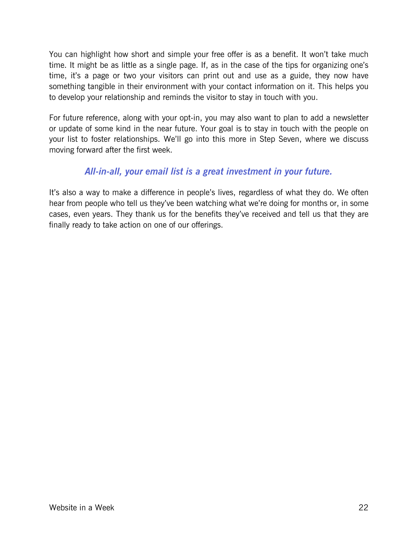You can highlight how short and simple your free offer is as a benefit. It won't take much time. It might be as little as a single page. If, as in the case of the tips for organizing one's time, it's a page or two your visitors can print out and use as a guide, they now have something tangible in their environment with your contact information on it. This helps you to develop your relationship and reminds the visitor to stay in touch with you.

For future reference, along with your opt-in, you may also want to plan to add a newsletter or update of some kind in the near future. Your goal is to stay in touch with the people on your list to foster relationships. We'll go into this more in Step Seven, where we discuss moving forward after the first week.

#### *All-in-all, your email list is a great investment in your future.*

It's also a way to make a difference in people's lives, regardless of what they do. We often hear from people who tell us they've been watching what we're doing for months or, in some cases, even years. They thank us for the benefits they've received and tell us that they are finally ready to take action on one of our offerings.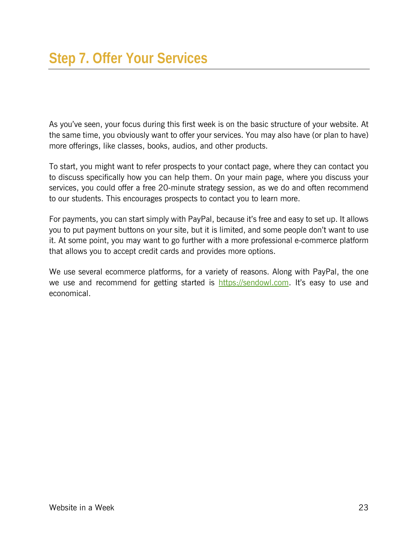As you've seen, your focus during this first week is on the basic structure of your website. At the same time, you obviously want to offer your services. You may also have (or plan to have) more offerings, like classes, books, audios, and other products.

To start, you might want to refer prospects to your contact page, where they can contact you to discuss specifically how you can help them. On your main page, where you discuss your services, you could offer a free 20-minute strategy session, as we do and often recommend to our students. This encourages prospects to contact you to learn more.

For payments, you can start simply with PayPal, because it's free and easy to set up. It allows you to put payment buttons on your site, but it is limited, and some people don't want to use it. At some point, you may want to go further with a more professional e-commerce platform that allows you to accept credit cards and provides more options.

We use several ecommerce platforms, for a variety of reasons. Along with PayPal, the one we use and recommend for getting started is [https://sendowl.com](https://www.sendowl.com?r=65efa). It's easy to use and economical.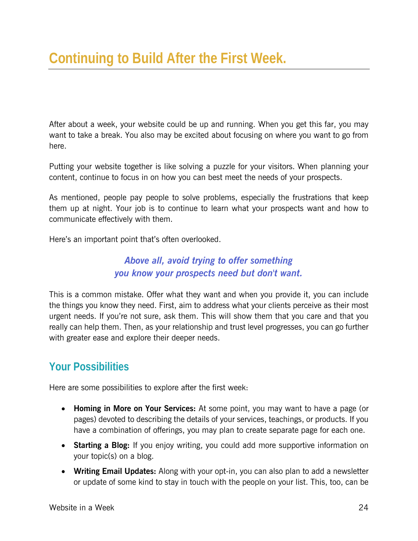After about a week, your website could be up and running. When you get this far, you may want to take a break. You also may be excited about focusing on where you want to go from here.

Putting your website together is like solving a puzzle for your visitors. When planning your content, continue to focus in on how you can best meet the needs of your prospects.

As mentioned, people pay people to solve problems, especially the frustrations that keep them up at night. Your job is to continue to learn what your prospects want and how to communicate effectively with them.

Here's an important point that's often overlooked.

#### *Above all, avoid trying to offer something you know your prospects need but don't want.*

This is a common mistake. Offer what they want and when you provide it, you can include the things you know they need. First, aim to address what your clients perceive as their most urgent needs. If you're not sure, ask them. This will show them that you care and that you really can help them. Then, as your relationship and trust level progresses, you can go further with greater ease and explore their deeper needs.

## **Your Possibilities**

Here are some possibilities to explore after the first week:

- **Homing in More on Your Services:** At some point, you may want to have a page (or pages) devoted to describing the details of your services, teachings, or products. If you have a combination of offerings, you may plan to create separate page for each one.
- **Starting a Blog:** If you enjoy writing, you could add more supportive information on your topic(s) on a blog.
- **Writing Email Updates:** Along with your opt-in, you can also plan to add a newsletter or update of some kind to stay in touch with the people on your list. This, too, can be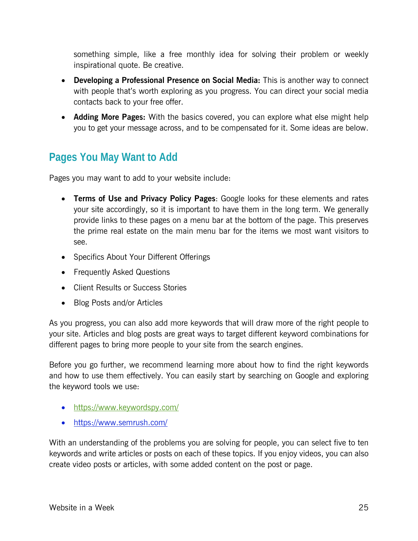something simple, like a free monthly idea for solving their problem or weekly inspirational quote. Be creative.

- **Developing a Professional Presence on Social Media:** This is another way to connect with people that's worth exploring as you progress. You can direct your social media contacts back to your free offer.
- **Adding More Pages:** With the basics covered, you can explore what else might help you to get your message across, and to be compensated for it. Some ideas are below.

## **Pages You May Want to Add**

Pages you may want to add to your website include:

- **Terms of Use and Privacy Policy Pages**: Google looks for these elements and rates your site accordingly, so it is important to have them in the long term. We generally provide links to these pages on a menu bar at the bottom of the page. This preserves the prime real estate on the main menu bar for the items we most want visitors to see.
- Specifics About Your Different Offerings
- Frequently Asked Questions
- Client Results or Success Stories
- Blog Posts and/or Articles

As you progress, you can also add more keywords that will draw more of the right people to your site. Articles and blog posts are great ways to target different keyword combinations for different pages to bring more people to your site from the search engines.

Before you go further, we recommend learning more about how to find the right keywords and how to use them effectively. You can easily start by searching on Google and exploring the keyword tools we use:

- https://www.keywordspy.com/
- https://www.semrush.com/

With an understanding of the problems you are solving for people, you can select five to ten keywords and write articles or posts on each of these topics. If you enjoy videos, you can also create video posts or articles, with some added content on the post or page.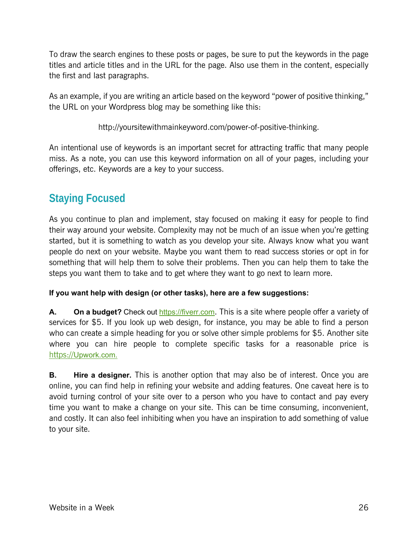To draw the search engines to these posts or pages, be sure to put the keywords in the page titles and article titles and in the URL for the page. Also use them in the content, especially the first and last paragraphs.

As an example, if you are writing an article based on the keyword "power of positive thinking," the URL on your Wordpress blog may be something like this:

http://yoursitewithmainkeyword.com/power-of-positive-thinking.

An intentional use of keywords is an important secret for attracting traffic that many people miss. As a note, you can use this keyword information on all of your pages, including your offerings, etc. Keywords are a key to your success.

## **Staying Focused**

As you continue to plan and implement, stay focused on making it easy for people to find their way around your website. Complexity may not be much of an issue when you're getting started, but it is something to watch as you develop your site. Always know what you want people do next on your website. Maybe you want them to read success stories or opt in for something that will help them to solve their problems. Then you can help them to take the steps you want them to take and to get where they want to go next to learn more.

#### **If you want help with design (or other tasks), here are a few suggestions:**

**A. On a budget?** Check out https://fiverr.com. This is a site where people offer a variety of services for \$5. If you look up web design, for instance, you may be able to find a person who can create a simple heading for you or solve other simple problems for \$5. Another site where you can hire people to complete specific tasks for a reasonable price is https://Upwork.com.

**B.** Hire a designer. This is another option that may also be of interest. Once you are online, you can find help in refining your website and adding features. One caveat here is to avoid turning control of your site over to a person who you have to contact and pay every time you want to make a change on your site. This can be time consuming, inconvenient, and costly. It can also feel inhibiting when you have an inspiration to add something of value to your site.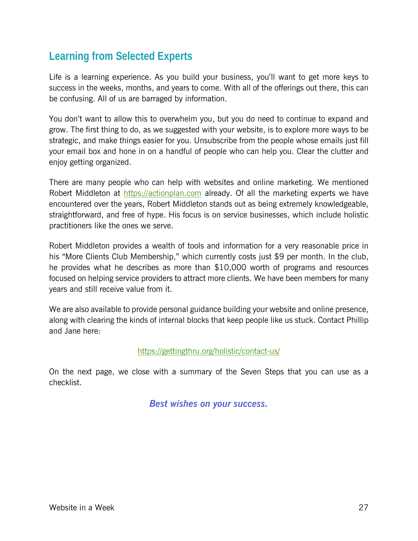## **Learning from Selected Experts**

Life is a learning experience. As you build your business, you'll want to get more keys to success in the weeks, months, and years to come. With all of the offerings out there, this can be confusing. All of us are barraged by information.

You don't want to allow this to overwhelm you, but you do need to continue to expand and grow. The first thing to do, as we suggested with your website, is to explore more ways to be strategic, and make things easier for you. Unsubscribe from the people whose emails just fill your email box and hone in on a handful of people who can help you. Clear the clutter and enjoy getting organized.

There are many people who can help with websites and online marketing. We mentioned Robert Middleton at https://actionplan.com already. Of all the marketing experts we have encountered over the years, Robert Middleton stands out as being extremely knowledgeable, straightforward, and free of hype. His focus is on service businesses, which include holistic practitioners like the ones we serve.

Robert Middleton provides a wealth of tools and information for a very reasonable price in his "More Clients Club Membership," which currently costs just \$9 per month. In the club, he provides what he describes as more than \$10,000 worth of programs and resources focused on helping service providers to attract more clients. We have been members for many years and still receive value from it.

We are also available to provide personal guidance building your website and online presence, along with clearing the kinds of internal blocks that keep people like us stuck. Contact Phillip and Jane here:

#### https://gettingthru.org/holistic/contact-us/

On the next page, we close with a summary of the Seven Steps that you can use as a checklist.

*Best wishes on your success.*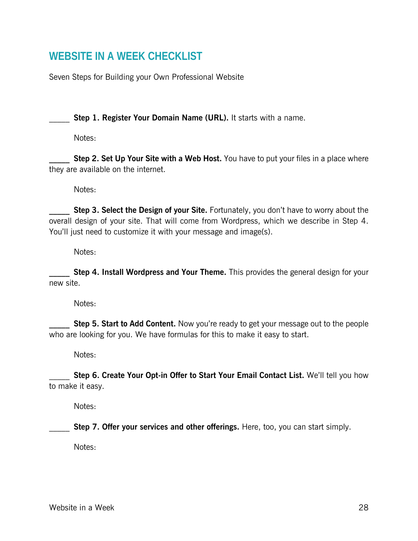## **WEBSITE IN A WEEK CHECKLIST**

Seven Steps for Building your Own Professional Website

**Step 1. Register Your Domain Name (URL).** It starts with a name.

Notes:

**Step 2. Set Up Your Site with a Web Host.** You have to put your files in a place where they are available on the internet.

Notes:

**Step 3. Select the Design of your Site.** Fortunately, you don't have to worry about the overall design of your site. That will come from Wordpress, which we describe in Step 4. You'll just need to customize it with your message and image(s).

Notes:

**Step 4. Install Wordpress and Your Theme.** This provides the general design for your new site.

Notes:

**Step 5. Start to Add Content.** Now you're ready to get your message out to the people who are looking for you. We have formulas for this to make it easy to start.

Notes:

**Step 6. Create Your Opt-in Offer to Start Your Email Contact List.** We'll tell you how to make it easy.

Notes:

**Step 7. Offer your services and other offerings.** Here, too, you can start simply.

Notes: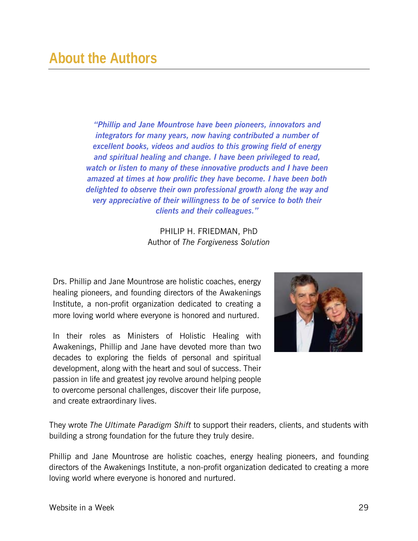*"Phillip and Jane Mountrose have been pioneers, innovators and integrators for many years, now having contributed a number of excellent books, videos and audios to this growing field of energy and spiritual healing and change. I have been privileged to read, watch or listen to many of these innovative products and I have been amazed at times at how prolific they have become. I have been both delighted to observe their own professional growth along the way and very appreciative of their willingness to be of service to both their clients and their colleagues."* 

> PHILIP H. FRIEDMAN, PhD Author of *The Forgiveness Solution*

Drs. Phillip and Jane Mountrose are holistic coaches, energy healing pioneers, and founding directors of the Awakenings Institute, a non-profit organization dedicated to creating a more loving world where everyone is honored and nurtured.

In their roles as Ministers of Holistic Healing with Awakenings, Phillip and Jane have devoted more than two decades to exploring the fields of personal and spiritual development, along with the heart and soul of success. Their passion in life and greatest joy revolve around helping people to overcome personal challenges, discover their life purpose, and create extraordinary lives.



They wrote *The Ultimate Paradigm Shift* to support their readers, clients, and students with building a strong foundation for the future they truly desire.

Phillip and Jane Mountrose are holistic coaches, energy healing pioneers, and founding directors of the Awakenings Institute, a non-profit organization dedicated to creating a more loving world where everyone is honored and nurtured.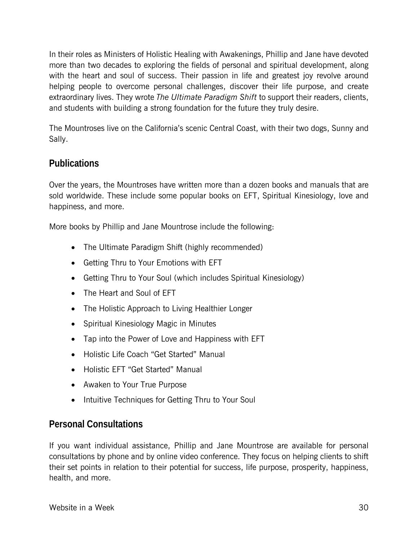In their roles as Ministers of Holistic Healing with Awakenings, Phillip and Jane have devoted more than two decades to exploring the fields of personal and spiritual development, along with the heart and soul of success. Their passion in life and greatest joy revolve around helping people to overcome personal challenges, discover their life purpose, and create extraordinary lives. They wrote *The Ultimate Paradigm Shift* to support their readers, clients, and students with building a strong foundation for the future they truly desire.

The Mountroses live on the California's scenic Central Coast, with their two dogs, Sunny and Sally.

#### **Publications**

Over the years, the Mountroses have written more than a dozen books and manuals that are sold worldwide. These include some popular books on EFT, Spiritual Kinesiology, love and happiness, and more.

More books by Phillip and Jane Mountrose include the following:

- The Ultimate Paradigm Shift (highly recommended)
- Getting Thru to Your Emotions with EFT
- Getting Thru to Your Soul (which includes Spiritual Kinesiology)
- The Heart and Soul of EFT
- The Holistic Approach to Living Healthier Longer
- Spiritual Kinesiology Magic in Minutes
- Tap into the Power of Love and Happiness with EFT
- Holistic Life Coach "Get Started" Manual
- Holistic EFT "Get Started" Manual
- Awaken to Your True Purpose
- Intuitive Techniques for Getting Thru to Your Soul

#### **Personal Consultations**

If you want individual assistance, Phillip and Jane Mountrose are available for personal consultations by phone and by online video conference. They focus on helping clients to shift their set points in relation to their potential for success, life purpose, prosperity, happiness, health, and more.